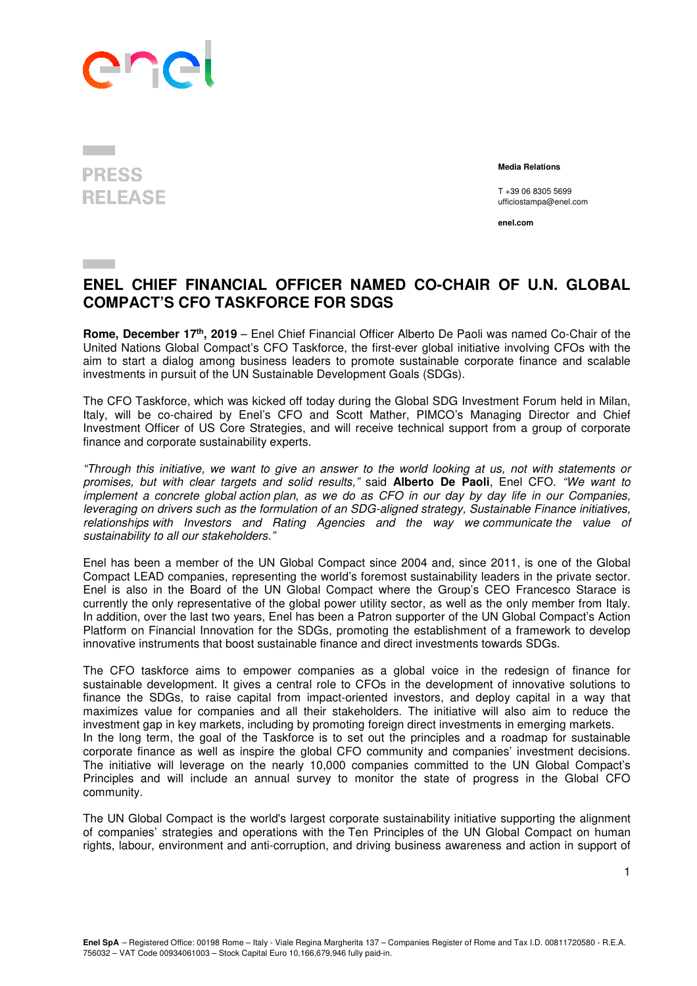

## **PRESS RELEASE**

 **Media Relations** 

T +39 06 8305 5699 ufficiostampa@enel.com

**enel.com**

## **ENEL CHIEF FINANCIAL OFFICER NAMED CO-CHAIR OF U.N. GLOBAL COMPACT'S CFO TASKFORCE FOR SDGS**

**Rome, December 17th, 2019** – Enel Chief Financial Officer Alberto De Paoli was named Co-Chair of the United Nations Global Compact's CFO Taskforce, the first-ever global initiative involving CFOs with the aim to start a dialog among business leaders to promote sustainable corporate finance and scalable investments in pursuit of the UN Sustainable Development Goals (SDGs).

The CFO Taskforce, which was kicked off today during the Global SDG Investment Forum held in Milan, Italy, will be co-chaired by Enel's CFO and Scott Mather, PIMCO's Managing Director and Chief Investment Officer of US Core Strategies, and will receive technical support from a group of corporate finance and corporate sustainability experts.

"Through this initiative, we want to give an answer to the world looking at us, not with statements or promises, but with clear targets and solid results," said **Alberto De Paoli**, Enel CFO. "We want to implement a concrete global action plan, as we do as CFO in our day by day life in our Companies, leveraging on drivers such as the formulation of an SDG-aligned strategy, Sustainable Finance initiatives, relationships with Investors and Rating Agencies and the way we communicate the value of sustainability to all our stakeholders."

Enel has been a member of the UN Global Compact since 2004 and, since 2011, is one of the Global Compact LEAD companies, representing the world's foremost sustainability leaders in the private sector. Enel is also in the Board of the UN Global Compact where the Group's CEO Francesco Starace is currently the only representative of the global power utility sector, as well as the only member from Italy. In addition, over the last two years, Enel has been a Patron supporter of the UN Global Compact's Action Platform on Financial Innovation for the SDGs, promoting the establishment of a framework to develop innovative instruments that boost sustainable finance and direct investments towards SDGs.

The CFO taskforce aims to empower companies as a global voice in the redesign of finance for sustainable development. It gives a central role to CFOs in the development of innovative solutions to finance the SDGs, to raise capital from impact-oriented investors, and deploy capital in a way that maximizes value for companies and all their stakeholders. The initiative will also aim to reduce the investment gap in key markets, including by promoting foreign direct investments in emerging markets. In the long term, the goal of the Taskforce is to set out the principles and a roadmap for sustainable corporate finance as well as inspire the global CFO community and companies' investment decisions. The initiative will leverage on the nearly 10,000 companies committed to the UN Global Compact's Principles and will include an annual survey to monitor the state of progress in the Global CFO community.

The UN Global Compact is the world's largest corporate sustainability initiative supporting the alignment of companies' strategies and operations with the Ten Principles of the UN Global Compact on human rights, labour, environment and anti-corruption, and driving business awareness and action in support of